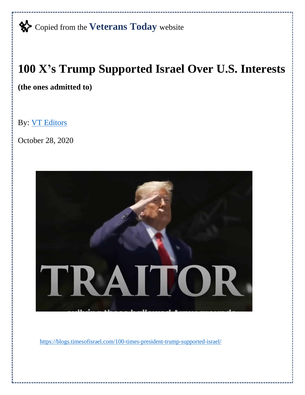✨Copied from the **Veterans Today** website

## **100 X's Trump Supported Israel Over U.S. Interests**

**(the ones admitted to)**

By: [VT Editors](https://www.veteranstoday.com/author/editor/)

October 28, 2020



<https://blogs.timesofisrael.com/100-times-president-trump-supported-israel/>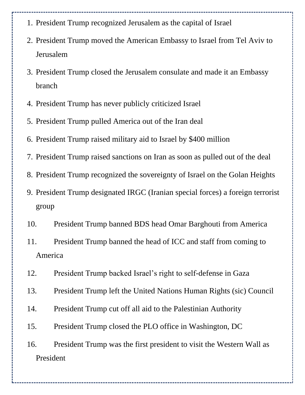- 1. President Trump recognized Jerusalem as the capital of Israel
- 2. President Trump moved the American Embassy to Israel from Tel Aviv to Jerusalem
- 3. President Trump closed the Jerusalem consulate and made it an Embassy branch
- 4. President Trump has never publicly criticized Israel
- 5. President Trump pulled America out of the Iran deal
- 6. President Trump raised military aid to Israel by \$400 million
- 7. President Trump raised sanctions on Iran as soon as pulled out of the deal
- 8. President Trump recognized the sovereignty of Israel on the Golan Heights
- 9. President Trump designated IRGC (Iranian special forces) a foreign terrorist group
- 10. President Trump banned BDS head Omar Barghouti from America
- 11. President Trump banned the head of ICC and staff from coming to America
- 12. President Trump backed Israel's right to self-defense in Gaza
- 13. President Trump left the United Nations Human Rights (sic) Council
- 14. President Trump cut off all aid to the Palestinian Authority
- 15. President Trump closed the PLO office in Washington, DC
- 16. President Trump was the first president to visit the Western Wall as President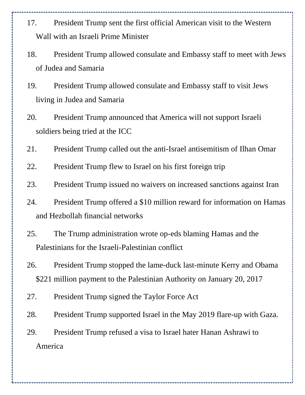- 17. President Trump sent the first official American visit to the Western Wall with an Israeli Prime Minister
- 18. President Trump allowed consulate and Embassy staff to meet with Jews of Judea and Samaria
- 19. President Trump allowed consulate and Embassy staff to visit Jews living in Judea and Samaria
- 20. President Trump announced that America will not support Israeli soldiers being tried at the ICC
- 21. President Trump called out the anti-Israel antisemitism of Ilhan Omar
- 22. President Trump flew to Israel on his first foreign trip
- 23. President Trump issued no waivers on increased sanctions against Iran
- 24. President Trump offered a \$10 million reward for information on Hamas and Hezbollah financial networks
- 25. The Trump administration wrote op-eds blaming Hamas and the Palestinians for the Israeli-Palestinian conflict
- 26. President Trump stopped the lame-duck last-minute Kerry and Obama \$221 million payment to the Palestinian Authority on January 20, 2017
- 27. President Trump signed the Taylor Force Act
- 28. President Trump supported Israel in the May 2019 flare-up with Gaza.
- 29. President Trump refused a visa to Israel hater Hanan Ashrawi to America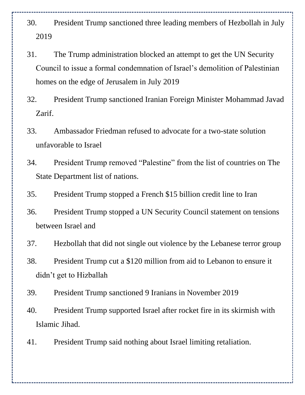- 30. President Trump sanctioned three leading members of Hezbollah in July 2019
- 31. The Trump administration blocked an attempt to get the UN Security Council to issue a formal condemnation of Israel's demolition of Palestinian homes on the edge of Jerusalem in July 2019
- 32. President Trump sanctioned Iranian Foreign Minister Mohammad Javad Zarif.
- 33. Ambassador Friedman refused to advocate for a two-state solution unfavorable to Israel
- 34. President Trump removed "Palestine" from the list of countries on The State Department list of nations.
- 35. President Trump stopped a French \$15 billion credit line to Iran
- 36. President Trump stopped a UN Security Council statement on tensions between Israel and
- 37. Hezbollah that did not single out violence by the Lebanese terror group
- 38. President Trump cut a \$120 million from aid to Lebanon to ensure it didn't get to Hizballah
- 39. President Trump sanctioned 9 Iranians in November 2019
- 40. President Trump supported Israel after rocket fire in its skirmish with Islamic Jihad.
- 41. President Trump said nothing about Israel limiting retaliation.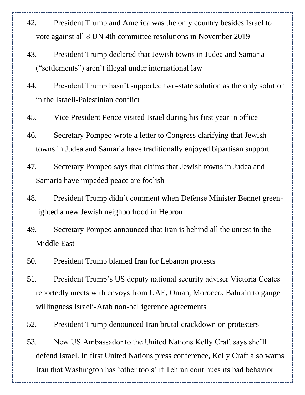- 42. President Trump and America was the only country besides Israel to vote against all 8 UN 4th committee resolutions in November 2019
- 43. President Trump declared that Jewish towns in Judea and Samaria ("settlements") aren't illegal under international law
- 44. President Trump hasn't supported two-state solution as the only solution in the Israeli-Palestinian conflict
- 45. Vice President Pence visited Israel during his first year in office
- 46. Secretary Pompeo wrote a letter to Congress clarifying that Jewish towns in Judea and Samaria have traditionally enjoyed bipartisan support
- 47. Secretary Pompeo says that claims that Jewish towns in Judea and Samaria have impeded peace are foolish
- 48. President Trump didn't comment when Defense Minister Bennet greenlighted a new Jewish neighborhood in Hebron
- 49. Secretary Pompeo announced that Iran is behind all the unrest in the Middle East
- 50. President Trump blamed Iran for Lebanon protests
- 51. President Trump's US deputy national security adviser Victoria Coates reportedly meets with envoys from UAE, Oman, Morocco, Bahrain to gauge willingness Israeli-Arab non-belligerence agreements
- 52. President Trump denounced Iran brutal crackdown on protesters
- 53. New US Ambassador to the United Nations Kelly Craft says she'll defend Israel. In first United Nations press conference, Kelly Craft also warns Iran that Washington has 'other tools' if Tehran continues its bad behavior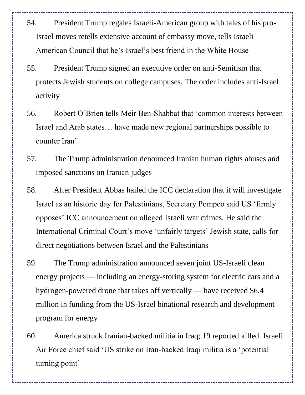- 54. President Trump regales Israeli-American group with tales of his pro-Israel moves retells extensive account of embassy move, tells Israeli American Council that he's Israel's best friend in the White House
- 55. President Trump signed an executive order on anti-Semitism that protects Jewish students on college campuses. The order includes anti-Israel activity
- 56. Robert O'Brien tells Meir Ben-Shabbat that 'common interests between Israel and Arab states… have made new regional partnerships possible to counter Iran'
- 57. The Trump administration denounced Iranian human rights abuses and imposed sanctions on Iranian judges
- 58. After President Abbas hailed the ICC declaration that it will investigate Israel as an historic day for Palestinians, Secretary Pompeo said US 'firmly opposes' ICC announcement on alleged Israeli war crimes. He said the International Criminal Court's move 'unfairly targets' Jewish state, calls for direct negotiations between Israel and the Palestinians
- 59. The Trump administration announced seven joint US-Israeli clean energy projects — including an energy-storing system for electric cars and a hydrogen-powered drone that takes off vertically — have received \$6.4 million in funding from the US-Israel binational research and development program for energy
- 60. America struck Iranian-backed militia in Iraq; 19 reported killed. Israeli Air Force chief said 'US strike on Iran-backed Iraqi militia is a 'potential turning point'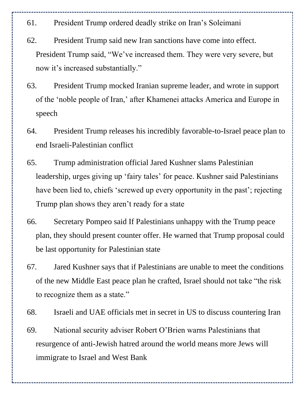- 61. President Trump ordered deadly strike on Iran's Soleimani
- 62. President Trump said new Iran sanctions have come into effect. President Trump said, "We've increased them. They were very severe, but now it's increased substantially."
- 63. President Trump mocked Iranian supreme leader, and wrote in support of the 'noble people of Iran,' after Khamenei attacks America and Europe in speech
- 64. President Trump releases his incredibly favorable-to-Israel peace plan to end Israeli-Palestinian conflict
- 65. Trump administration official Jared Kushner slams Palestinian leadership, urges giving up 'fairy tales' for peace. Kushner said Palestinians have been lied to, chiefs 'screwed up every opportunity in the past'; rejecting Trump plan shows they aren't ready for a state
- 66. Secretary Pompeo said If Palestinians unhappy with the Trump peace plan, they should present counter offer. He warned that Trump proposal could be last opportunity for Palestinian state
- 67. Jared Kushner says that if Palestinians are unable to meet the conditions of the new Middle East peace plan he crafted, Israel should not take "the risk to recognize them as a state."
- 68. Israeli and UAE officials met in secret in US to discuss countering Iran
- 69. National security adviser Robert O'Brien warns Palestinians that resurgence of anti-Jewish hatred around the world means more Jews will immigrate to Israel and West Bank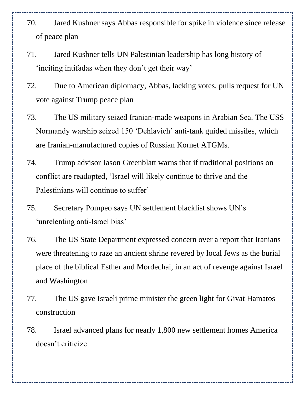- 70. Jared Kushner says Abbas responsible for spike in violence since release of peace plan
- 71. Jared Kushner tells UN Palestinian leadership has long history of 'inciting intifadas when they don't get their way'
- 72. Due to American diplomacy, Abbas, lacking votes, pulls request for UN vote against Trump peace plan
- 73. The US military seized Iranian-made weapons in Arabian Sea. The USS Normandy warship seized 150 'Dehlavieh' anti-tank guided missiles, which are Iranian-manufactured copies of Russian Kornet ATGMs.
- 74. Trump advisor Jason Greenblatt warns that if traditional positions on conflict are readopted, 'Israel will likely continue to thrive and the Palestinians will continue to suffer'
- 75. Secretary Pompeo says UN settlement blacklist shows UN's 'unrelenting anti-Israel bias'
- 76. The US State Department expressed concern over a report that Iranians were threatening to raze an ancient shrine revered by local Jews as the burial place of the biblical Esther and Mordechai, in an act of revenge against Israel and Washington
- 77. The US gave Israeli prime minister the green light for Givat Hamatos construction
- 78. Israel advanced plans for nearly 1,800 new settlement homes America doesn't criticize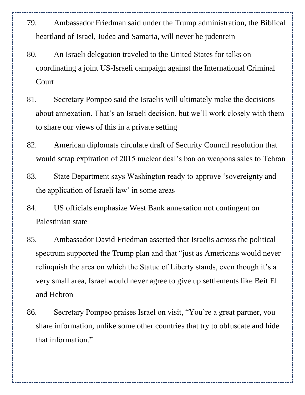- 79. Ambassador Friedman said under the Trump administration, the Biblical heartland of Israel, Judea and Samaria, will never be judenrein
- 80. An Israeli delegation traveled to the United States for talks on coordinating a joint US-Israeli campaign against the International Criminal Court
- 81. Secretary Pompeo said the Israelis will ultimately make the decisions about annexation. That's an Israeli decision, but we'll work closely with them to share our views of this in a private setting
- 82. American diplomats circulate draft of Security Council resolution that would scrap expiration of 2015 nuclear deal's ban on weapons sales to Tehran
- 83. State Department says Washington ready to approve 'sovereignty and the application of Israeli law' in some areas
- 84. US officials emphasize West Bank annexation not contingent on Palestinian state
- 85. Ambassador David Friedman asserted that Israelis across the political spectrum supported the Trump plan and that "just as Americans would never relinquish the area on which the Statue of Liberty stands, even though it's a very small area, Israel would never agree to give up settlements like Beit El and Hebron
- 86. Secretary Pompeo praises Israel on visit, "You're a great partner, you share information, unlike some other countries that try to obfuscate and hide that information."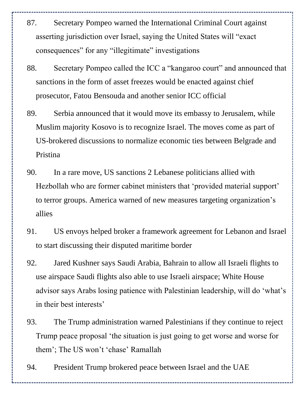- 87. Secretary Pompeo warned the International Criminal Court against asserting jurisdiction over Israel, saying the United States will "exact consequences" for any "illegitimate" investigations
- 88. Secretary Pompeo called the ICC a "kangaroo court" and announced that sanctions in the form of asset freezes would be enacted against chief prosecutor, Fatou Bensouda and another senior ICC official
- 89. Serbia announced that it would move its embassy to Jerusalem, while Muslim majority Kosovo is to recognize Israel. The moves come as part of US-brokered discussions to normalize economic ties between Belgrade and Pristina
- 90. In a rare move, US sanctions 2 Lebanese politicians allied with Hezbollah who are former cabinet ministers that 'provided material support' to terror groups. America warned of new measures targeting organization's allies
- 91. US envoys helped broker a framework agreement for Lebanon and Israel to start discussing their disputed maritime border
- 92. Jared Kushner says Saudi Arabia, Bahrain to allow all Israeli flights to use airspace Saudi flights also able to use Israeli airspace; White House advisor says Arabs losing patience with Palestinian leadership, will do 'what's in their best interests'
- 93. The Trump administration warned Palestinians if they continue to reject Trump peace proposal 'the situation is just going to get worse and worse for them'; The US won't 'chase' Ramallah
- 94. President Trump brokered peace between Israel and the UAE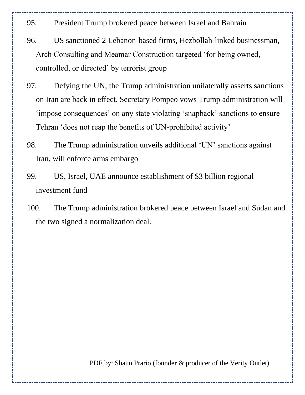- 95. President Trump brokered peace between Israel and Bahrain
- 96. US sanctioned 2 Lebanon-based firms, Hezbollah-linked businessman, Arch Consulting and Meamar Construction targeted 'for being owned, controlled, or directed' by terrorist group
- 97. Defying the UN, the Trump administration unilaterally asserts sanctions on Iran are back in effect. Secretary Pompeo vows Trump administration will 'impose consequences' on any state violating 'snapback' sanctions to ensure Tehran 'does not reap the benefits of UN-prohibited activity'
- 98. The Trump administration unveils additional 'UN' sanctions against Iran, will enforce arms embargo
- 99. US, Israel, UAE announce establishment of \$3 billion regional investment fund
- 100. The Trump administration brokered peace between Israel and Sudan and the two signed a normalization deal.

PDF by: Shaun Prario (founder & producer of the Verity Outlet)